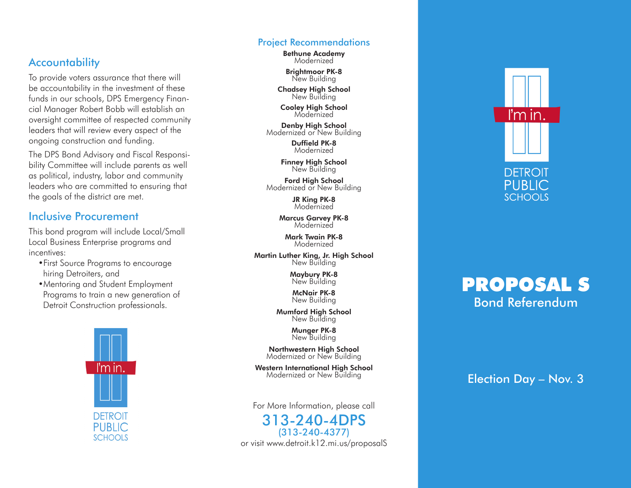### **Accountability**

To provide voters assurance that there will be accountability in the investment of these funds in our schools, DPS Emergency Finan cial Manager Robert Bobb will establish an oversight committee of respected community leaders that will review every aspect of the ongoing construction and funding.

The DPS Bond Advisory and Fiscal Responsi bility Committee will include parents as well as political, industry, labor and community leaders who are committed to ensuring that the goals of the district are met.

### Inclusive Procurement

This bond program will include Local/Small Local Business Enterprise programs and incentives:

•First Source Programs to encourage hiring Detroiters, and

•Mentoring and Student Employment Programs to train a new generation of Detroit Construction professionals.



#### Project Recommendations

Bethune Academy Modernized

Brightmoor PK-8 New Building

**Chadsey High School**<br>New Building

**Cooley High School**<br>Modernized

Denby High School Modernized or New Building

> Duffield PK-8 Modernized

Finney High School New Building

Ford High School Modernized or New Building

> JR King PK-8 Modernized

Marcus Garvey PK-8 **Modernized** 

> Mark Twain PK-8 Modernized

Martin Luther King, Jr. High School New Building

> Maybury PK-8 New Building

McNair PK-8 New Building

Mumford High School New Building

> Munger PK-8 New Building

Northwestern High School Modernized or New Building

Western International High School Modernized or New Building

For More Information, please call

313-240-4DPS (313-240-4377) or visit www.detroit.k12.mi.us/proposalS



# Pro posal S Bond Referendum

Election Day – Nov. 3